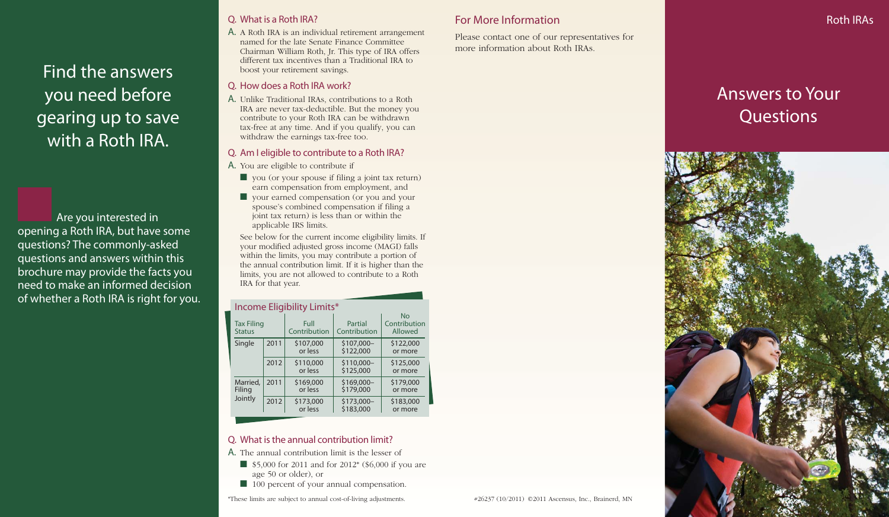Find the answers you need before gearing up to save with a Roth IRA.

Are you interested in opening a Roth IRA, but have some questions? The commonly-asked questions and answers within this brochure may provide the facts you need to make an informed decision of whether a Roth IRA is right for you.

# Q. What is a Roth IRA?

A. A Roth IRA is an individual retirement arrangement named for the late Senate Finance Committee Chairman William Roth, Jr. This type of IRA offers different tax incentives than a Traditional IRA to boost your retirement savings.

# Q. How does a Roth IRA work?

A. Unlike Traditional IRAs, contributions to a Roth IRA are never tax-deductible. But the money you contribute to your Roth IRA can be withdrawn tax-free at any time. And if you qualify, you can withdraw the earnings tax-free too.

# Q. Am I eligible to contribute to a Roth IRA?

- A. You are eligible to contribute if
	- you (or your spouse if filing a joint tax return) earn compensation from employment, and
	- your earned compensation (or you and your spouse's combined compensation if filing a joint tax return) is less than or within the applicable IRS limits.

See below for the current income eligibility limits. If your modified adjusted gross income (MAGI) falls within the limits, you may contribute a portion of the annual contribution limit. If it is higher than the limits, you are not allowed to contribute to a Roth IRA for that year.

#### Income Eligibility Limits\*

| <u>. _ _ ,</u><br><b>Tax Filing</b><br><b>Status</b> |      | Full<br>Contribution | Partial<br>Contribution  | No<br>Contribution<br>Allowed |
|------------------------------------------------------|------|----------------------|--------------------------|-------------------------------|
| Single                                               | 2011 | \$107,000<br>or less | \$107,000-<br>\$122,000  | \$122,000<br>or more          |
|                                                      | 2012 | \$110,000<br>or less | $$110,000-$<br>\$125,000 | \$125,000<br>or more          |
| Married,<br>Filing<br>Jointly                        | 2011 | \$169,000<br>or less | \$169,000-<br>\$179,000  | \$179,000<br>or more          |
|                                                      | 2012 | \$173,000<br>or less | \$173,000-<br>\$183,000  | \$183,000<br>or more          |

# Q. What is the annual contribution limit?

- A. The annual contribution limit is the lesser of
	- \$5,000 for 2011 and for 2012<sup>\*</sup> (\$6,000 if you are age 50 or older), or
	- 100 percent of your annual compensation.

\*These limits are subject to annual cost-of-living adjustments.

# For More Information

Please contact one of our representatives for more information about Roth IRAs.

# Answers to Your **Questions**